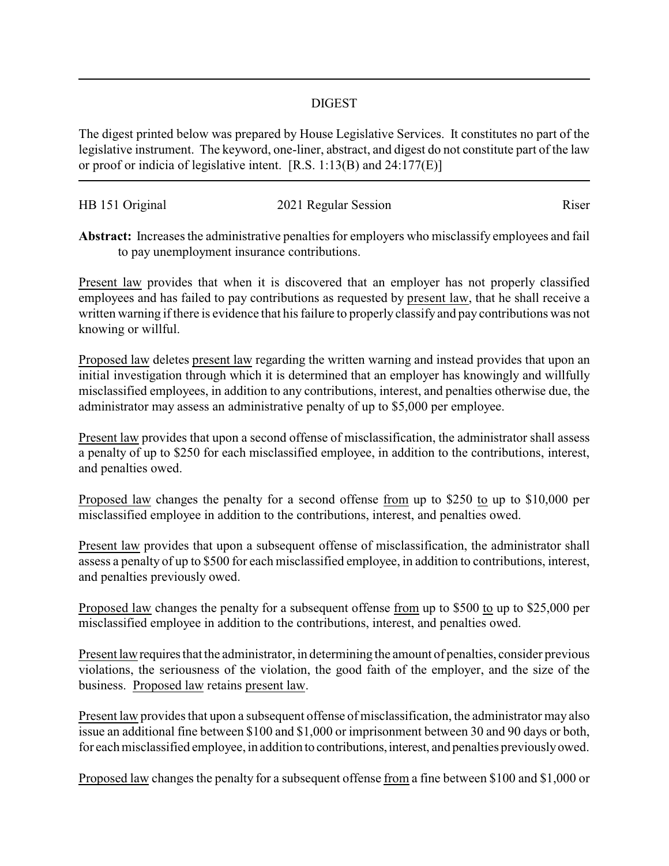## DIGEST

The digest printed below was prepared by House Legislative Services. It constitutes no part of the legislative instrument. The keyword, one-liner, abstract, and digest do not constitute part of the law or proof or indicia of legislative intent. [R.S. 1:13(B) and 24:177(E)]

| HB 151 Original | 2021 Regular Session | Riser |
|-----------------|----------------------|-------|
|                 |                      |       |

**Abstract:** Increases the administrative penalties for employers who misclassify employees and fail to pay unemployment insurance contributions.

Present law provides that when it is discovered that an employer has not properly classified employees and has failed to pay contributions as requested by present law, that he shall receive a written warning if there is evidence that his failure to properly classify and pay contributions was not knowing or willful.

Proposed law deletes present law regarding the written warning and instead provides that upon an initial investigation through which it is determined that an employer has knowingly and willfully misclassified employees, in addition to any contributions, interest, and penalties otherwise due, the administrator may assess an administrative penalty of up to \$5,000 per employee.

Present law provides that upon a second offense of misclassification, the administrator shall assess a penalty of up to \$250 for each misclassified employee, in addition to the contributions, interest, and penalties owed.

Proposed law changes the penalty for a second offense from up to \$250 to up to \$10,000 per misclassified employee in addition to the contributions, interest, and penalties owed.

Present law provides that upon a subsequent offense of misclassification, the administrator shall assess a penalty of up to \$500 for each misclassified employee, in addition to contributions, interest, and penalties previously owed.

Proposed law changes the penalty for a subsequent offense from up to \$500 to up to \$25,000 per misclassified employee in addition to the contributions, interest, and penalties owed.

Present law requires that the administrator, in determining the amount of penalties, consider previous violations, the seriousness of the violation, the good faith of the employer, and the size of the business. Proposed law retains present law.

Present law provides that upon a subsequent offense of misclassification, the administrator may also issue an additional fine between \$100 and \$1,000 or imprisonment between 30 and 90 days or both, for each misclassified employee, in addition to contributions, interest, and penalties previously owed.

Proposed law changes the penalty for a subsequent offense from a fine between \$100 and \$1,000 or